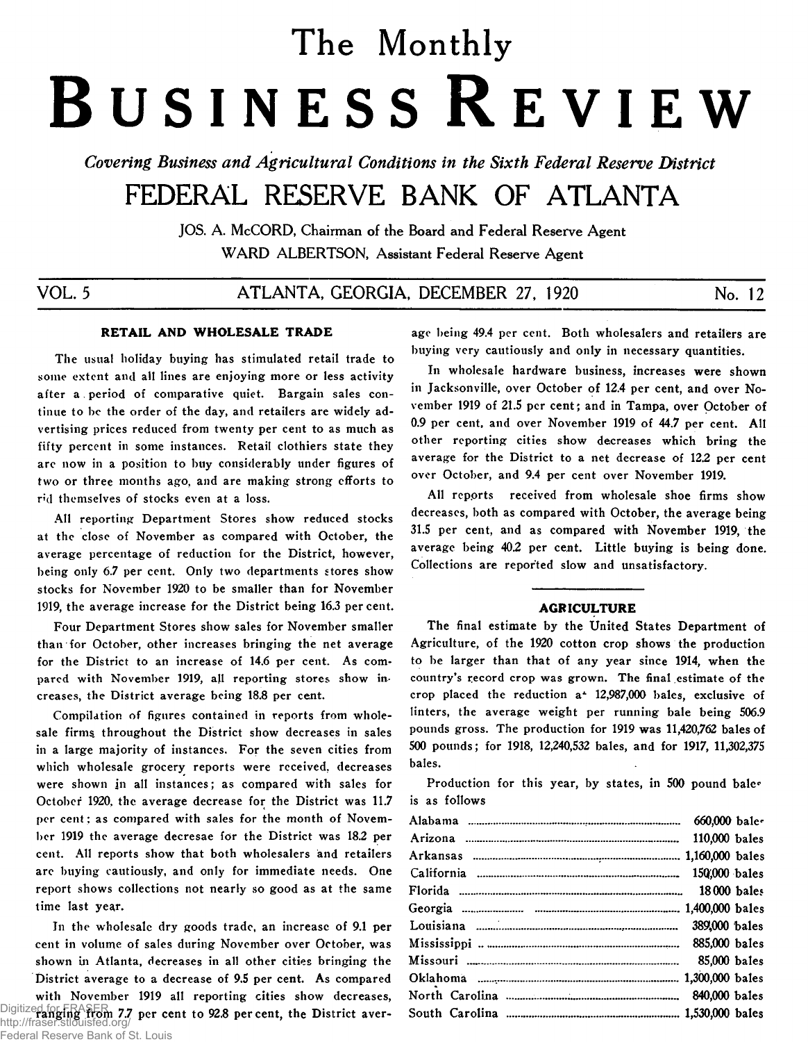# The Monthly **B usiness R eview**

*Covering Business and Agricultural Conditions in the Sixth Federal Reserve District* 

## FEDERAL RESERVE BANK OF ATLANTA

JOS. A. McCORD, Chairman of the Board and Federal Reserve Agent **WARD ALBERTSON, Assistant Federal Reserve Agent** 

VOL. 5 ATLANTA, GEORGIA, DECEMBER 27, 1920 No. 12

## **RETAIL AND WHOLESALE TRADE**

**The usual holiday buying has stimulated retail trade to some extent and all lines are enjoying more or less activity after a period of comparative quiet. Bargain sales continue to be the order of the day, and retailers are widely advertising prices reduced from twenty per cent to as much as fifty percent in some instances. Retail clothiers state they are now in a position to buy considerably under figures of two or three months ago, and are making strong efforts to nd themselves of stocks even at a loss.**

**All reporting Department Stores show reduced stocks at the close of November as compared with October, the average percentage of reduction for the District, however, being only 6.7 per cent. Only two departments stores show stocks for November 1920 to be smaller than for November 1919, the average increase for the District being 16.3 per cent.**

**Four Department Stores show sales for November smaller than for October, other increases bringing the net average for the District to an increase of 14.6 per cent. As compared with November 1919, all reporting stores show increases, the District average being 18.8 per cent.**

**Compilation of figures contained in reports from wholesale firms, throughout the District show decreases in sales in a large majority of instances. For the seven cities from which wholesale grocery reports were received, decreases were shown in all instances; as compared with sales for October 1920, the average decrease for the District was 11.7 per cent ; as compared with sales for the month of November 1919 the average decresae for the District was 18.2 per cent. All reports show that both wholesalers and retailers arc buying cautiously, and only for immediate needs. One report shows collections not nearly so good as at the same time last year.**

**In the wholesale dry goods trade, an increase of 9.1 per cent in volume of sales during November over October, was shown in Atlanta, decreases in all other cities bringing the District average to a decrease of 9.5 per cent. As compared with November 1919 all reporting cities show decreases,** Digitized for FRASER<sub>1</sub> 7.7 per cent to 92.8 per cent, the District averhttp://fraser.stlouisfed.org/

**age being 49.4 per cent. Both wholesalers and retailers are buying very cautiously and only in necessary quantities.**

**In wholesale hardware business, increases were shown in Jacksonville, over October of 12.4 per cent, and over November 1919 of 21.5 per cent; and in Tampa, over October of 0.9 per cent, and over November 1919 of 44.7 per cent. All other reporting cities show decreases which bring the average for the District to a net decrease of 12.2 per cent over October, and 9.4 per cent over November 1919.**

**All repprts received from wholesale shoe firms show decreases, both as compared with October, the average being 31.5 per cent, and as compared with November 1919, the average being 402 per cent. Little buying is being done. Collections are reported slow and unsatisfactory.**

## AGRICULTURE

**The final estimate by the United States Department of Agriculture, of the 1920 cotton crop shows the production to be larger than that of any year since 1914, when the country's record crop was grown. The final estimate of the crop placed the reduction a\* 12,987,000 bales, exclusive of linters, the average weight per running bale being 506.9 pounds gross. The production for 1919 was 11,420,762 bales of 500 pounds; for 1918, 12,240,532 bales, and for 1917, 11,302,375 bales.**

**Production for this year, by states, in 500 pound bale\* is as follows**

| 660,000 bales |  |
|---------------|--|
| 110,000 bales |  |
|               |  |
|               |  |
|               |  |
|               |  |
|               |  |
|               |  |
| 85,000 bales  |  |
|               |  |
|               |  |
|               |  |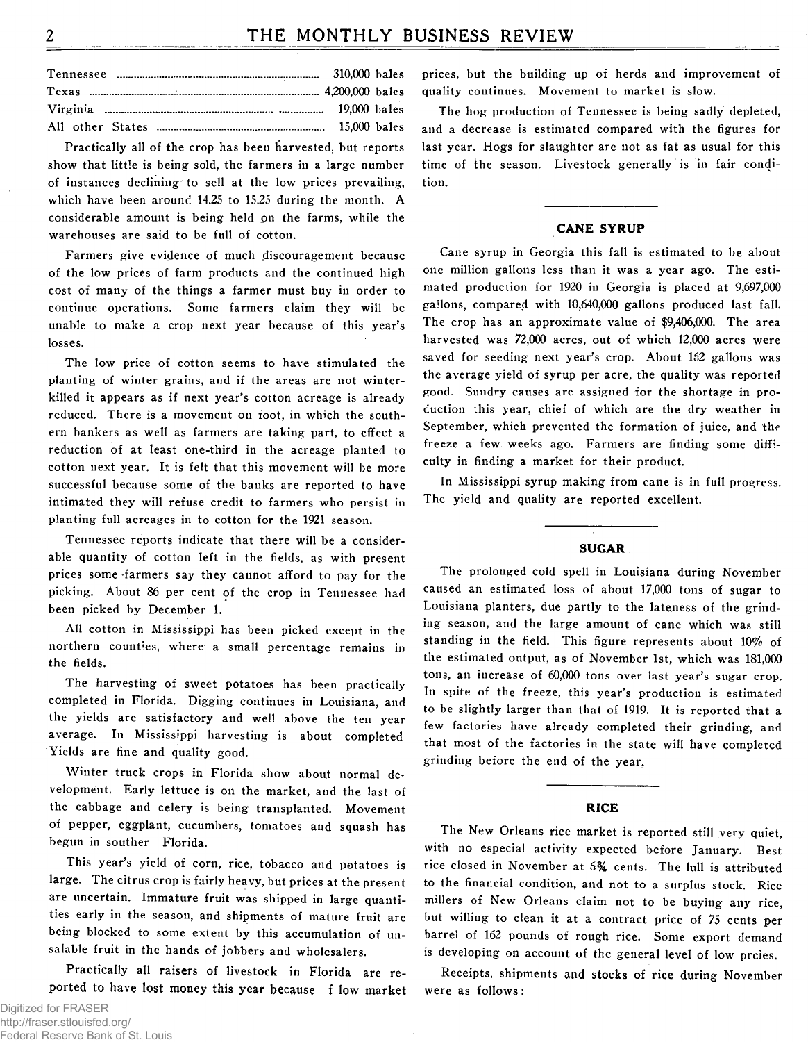## THE MONTHLY BUSINESS REVIEW

Practically all of the crop has been harvested, but reports show that little is being sold, the farmers in a large number of instances declining to sell at the low prices prevailing, which have been around 14.25 to 15.25 during the month. A considerable amount is being held on the farms, while the warehouses are said to be full of cotton.

Farmers give evidence of much discouragement because of the low prices of farm products and the continued high cost of many of the things a farmer must buy in order to continue operations. Some farmers claim they will be unable to make a crop next year because of this year's losses.

The low price of cotton seems to have stimulated the planting of winter grains, and if the areas are not winterkilled it appears as if next year's cotton acreage is already reduced. There is a movement on foot, in which the southern bankers as well as farmers are taking part, to effect a reduction of at least one-third in the acreage planted to cotton next year. It is felt that this movement will be more successful because some of the banks are reported to have intimated they will refuse credit to farmers who persist in planting full acreages in to cotton for the 1921 season.

Tennessee reports indicate that there will be a considerable quantity of cotton left in the fields, as with present prices some farmers say they cannot afford to pay for the picking. About 86 per cent of the crop in Tennessee had been picked by December 1.

All cotton in Mississippi has been picked except in the northern counties, where a small percentage remains in the fields.

The harvesting of sweet potatoes has been practically completed in Florida. Digging continues in Louisiana, and the yields are satisfactory and well above the ten year average. In Mississippi harvesting is about completed Yields are fine and quality good.

Winter truck crops in Florida show about normal development. Early lettuce is on the market, and the last of the cabbage and celery is being transplanted. Movement of pepper, eggplant, cucumbers, tomatoes and squash has begun in souther Florida.

This year's yield of corn, rice, tobacco and potatoes is large. The citrus crop is fairly heavy, but prices at the present are uncertain. Immature fruit was shipped in large quantities early in the season, and shipments of mature fruit are being blocked to some extent by this accumulation of unsalable fruit in the hands of jobbers and wholesalers.

Practically all raisers of livestock in Florida are reported to have lost money this year because flow market

prices, but the building up of herds and improvement of quality continues. Movement to market is slow.

The hog production of Tennessee is being sadly depleted. and a decrease is estimated compared with the figures for last year. Hogs for slaughter are not as fat as usual for this time of the season. Livestock generally is in fair condition

## **CANE SYRUP**

Cane syrup in Georgia this fall is estimated to be about one million gallons less than it was a year ago. The estimated production for 1920 in Georgia is placed at 9,697,000 gallons, compared with 10,640,000 gallons produced last fall. The crop has an approximate value of \$9,406,000. The area harvested was 72,000 acres, out of which 12,000 acres were saved for seeding next year's crop. About 162 gallons was the average yield of syrup per acre, the quality was reported good. Sundry causes are assigned for the shortage in production this year, chief of which are the dry weather in September, which prevented the formation of juice, and the freeze a few weeks ago. Farmers are finding some difficulty in finding a market for their product.

In Mississippi syrup making from cane is in full progress. The yield and quality are reported excellent.

## **SUGAR**

The prolonged cold spell in Louisiana during November caused an estimated loss of about 17,000 tons of sugar to Louisiana planters, due partly to the lateness of the grinding season, and the large amount of cane which was still standing in the field. This figure represents about 10% of the estimated output, as of November 1st, which was 181,000 tons, an increase of 60,000 tons over last year's sugar crop. In spite of the freeze, this year's production is estimated to be slightly larger than that of 1919. It is reported that a few factories have already completed their grinding, and that most of the factories in the state will have completed grinding before the end of the year.

## **RICE**

The New Orleans rice market is reported still very quiet, with no especial activity expected before January. Best rice closed in November at 5% cents. The lull is attributed to the financial condition, and not to a surplus stock. Rice millers of New Orleans claim not to be buying any rice, but willing to clean it at a contract price of 75 cents per barrel of 162 pounds of rough rice. Some export demand is developing on account of the general level of low prcies.

Receipts, shipments and stocks of rice during November were as follows: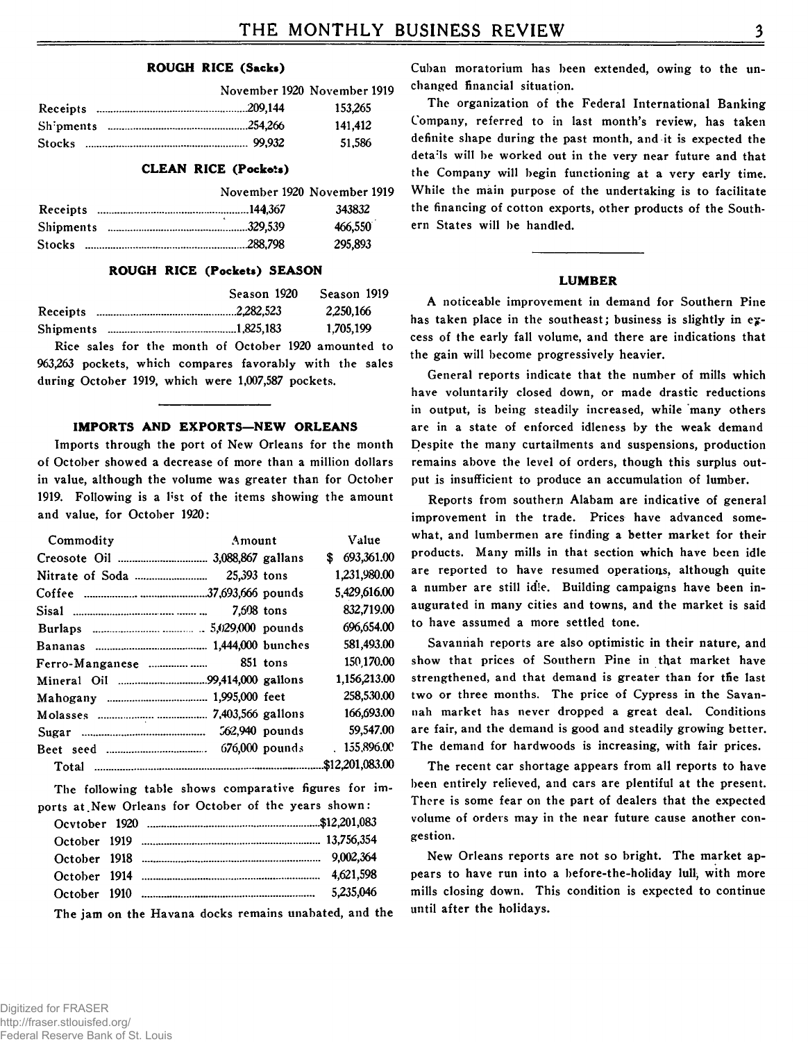## **ROUGH RICE (Sacks)**

|  | November 1920 November 1919 |
|--|-----------------------------|
|  | 153.265                     |
|  | 141.412                     |
|  | 51.586                      |

## **CLEAN RICE (Pockets)**

|               | November 1920 November 1919 |
|---------------|-----------------------------|
|               | 343832                      |
|               | 466,550                     |
| <b>Stocks</b> | 295,893                     |

## **ROUGH RICE (Pockets) SEASON**

|                  | Season 1920 | Season 1919 |
|------------------|-------------|-------------|
| Receipts         |             | 2,250,166   |
| <b>Shipments</b> |             | 1,705,199   |

**Rice sales for the month of October 1920 amounted to 963,263 pockets, which compares favorably with the sales during October 1919, which were 1,007,587 pockets.**

## **IMPORTS AND EXPORTS—NEW ORLEANS**

**Imports through the port of New Orleans for the month of October showed a decrease of more than a million dollars in value, although the volume was greater than for October 1919. Following is a l\*st of the items showing the amount and value, for October 1920:**

| Commodity | Amount      |                | Value           |
|-----------|-------------|----------------|-----------------|
|           |             |                | \$693,361,00    |
|           | 25,393 tons |                | 1,231,980.00    |
|           |             |                | 5,429,616.00    |
|           | 7,508 tons  |                | 832,719.00      |
|           |             |                | 696,654.00      |
|           |             |                | 581,493.00      |
|           |             | 851 tons       | 150,170.00      |
|           |             |                | 1,156,213.00    |
|           |             |                | 258,530.00      |
|           |             |                | 166,693.00      |
|           |             | 562,940 pounds | 59,547.00       |
|           |             |                | .155.896.00     |
|           |             |                | \$12,201,083.00 |

**The following table shows comparative figures for im**ports at New Orleans for October of the years shown:

**The jam on the Havana docks remains unabated, and the**

**Cuban moratorium has been extended, owing to the unchanged financial situation.**

**The organization of the Federal International Banking Company, referred to in last month's review, has taken definite shape during the past month, and it is expected the deta;ls will be worked out in the very near future and that the Company will begin functioning at a very early time. While the main purpose of the undertaking is to facilitate the financing of cotton exports, other products of the Southern States will be handled.**

## **LUMBER**

**A noticeable improvement in demand for Southern Pine has taken place in the southeast; business is slightly in excess of the early fall volume, and there are indications that the gain will become progressively heavier.**

**General reports indicate that the number of mills which have voluntarily closed down, or made drastic reductions in output, is being steadily increased, while many others are in a state of enforced idleness by the weak demand Despite the many curtailments and suspensions, production remains above the level of orders, though this surplus output is insufficient to produce an accumulation of lumber.**

**Reports from southern Alabam are indicative of general improvement in the trade. Prices have advanced somewhat, and lumbermen are finding a better market for their products. Many mills in that section which have been idle are reported to have resumed operations, although quite a number are still idle. Building campaigns have been inaugurated in many cities and towns, and the market is said to have assumed a more settled tone.**

**Savannah reports are also optimistic in their nature, and show that prices of Southern Pine in that market have strengthened, and that demand is greater than for tfie last two or three months. The price of Cypress in the Savannah market has never dropped a great deal. Conditions are fair, and the demand is good and steadily growing better. The demand for hardwoods is increasing, with fair prices.**

**The recent car shortage appears from all reports to have been entirely relieved, and cars are plentiful at the present. There is some fear on the part of dealers that the expected volume of orders may in the near future cause another congestion.**

**New Orleans reports are not so bright. The market appears to have run into a before-the-holiday lull, with more mills closing down. This condition is expected to continue until after the holidays.**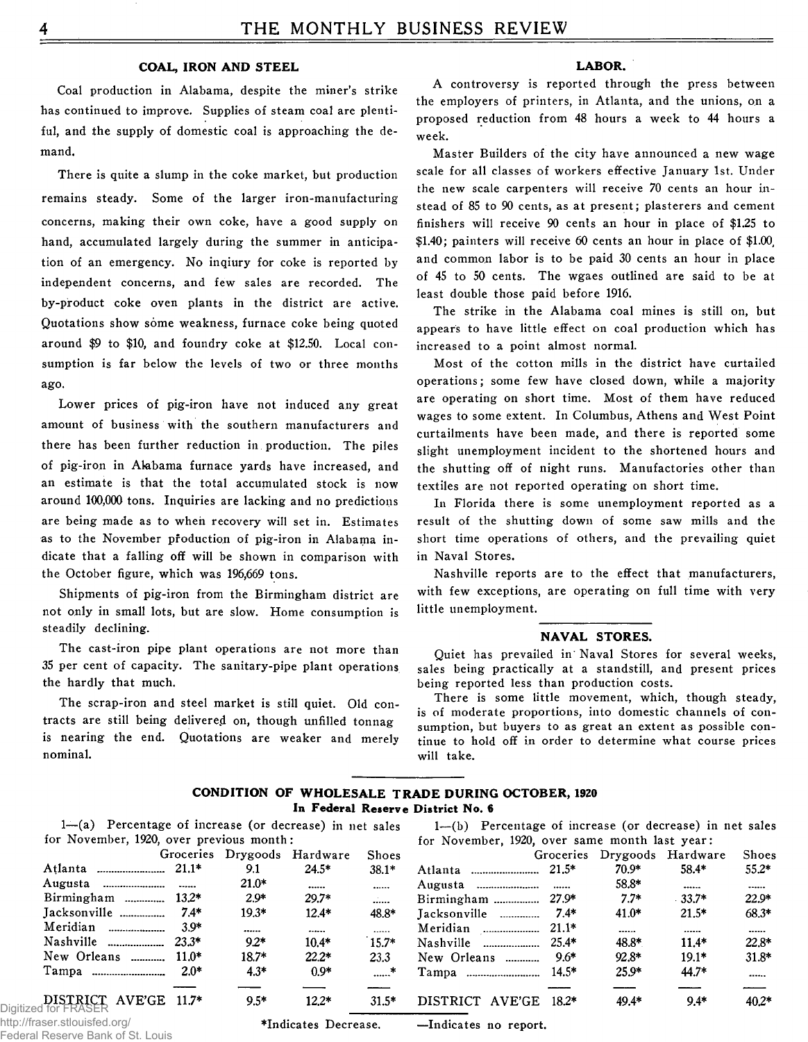## COAL, IRON AND STEEL

Coal production in Alabama, despite the miner's strike has continued to improve. Supplies of steam coal are plentiful, and the supply of domestic coal is approaching the demand.

There is quite a slump in the coke market, but production remains steady. Some of the larger iron-manufacturing concerns, making their own coke, have a good supply on hand, accumulated largely during the summer in anticipation of an emergency. No inqiury for coke is reported by independent concerns, and few sales are recorded. The by-product coke oven plants in the district are active. Quotations show some weakness, furnace coke being quoted around \$9 to \$10, and foundry coke at \$12.50. Local consumption is far below the levels of two or three months ago.

Lower prices of pig-iron have not induced any great amount of business with the southern manufacturers and there has been further reduction in production. The piles of pig-iron in Alabama furnace vards have increased, and an estimate is that the total accumulated stock is now around 100,000 tons. Inquiries are lacking and no predictions are being made as to when recovery will set in. Estimates as to the November production of pig-iron in Alabama indicate that a falling off will be shown in comparison with the October figure, which was 196,669 tons.

Shipments of pig-iron from the Birmingham district are not only in small lots, but are slow. Home consumption is steadily declining.

The cast-iron pipe plant operations are not more than 35 per cent of capacity. The sanitary-pipe plant operations the hardly that much.

The scrap-iron and steel market is still quiet. Old contracts are still being delivered on, though unfilled tonnag is nearing the end. Quotations are weaker and merely nominal.

## LABOR.

A controversy is reported through the press between the employers of printers, in Atlanta, and the unions, on a proposed reduction from 48 hours a week to 44 hours a week.

Master Builders of the city have announced a new wage scale for all classes of workers effective January 1st. Under the new scale carpenters will receive 70 cents an hour instead of 85 to 90 cents, as at present; plasterers and cement finishers will receive 90 cents an hour in place of \$1.25 to  $$1.40$ ; painters will receive 60 cents an hour in place of  $$1.00$ . and common labor is to be paid 30 cents an hour in place of 45 to 50 cents. The wgaes outlined are said to be at least double those paid before 1916.

The strike in the Alabama coal mines is still on, but appears to have little effect on coal production which has increased to a point almost normal.

Most of the cotton mills in the district have curtailed operations; some few have closed down, while a majority are operating on short time. Most of them have reduced wages to some extent. In Columbus, Athens and West Point curtailments have been made, and there is reported some slight unemployment incident to the shortened hours and the shutting off of night runs. Manufactories other than textiles are not reported operating on short time.

In Florida there is some unemployment reported as a result of the shutting down of some saw mills and the short time operations of others, and the prevailing quiet in Naval Stores.

Nashville reports are to the effect that manufacturers, with few exceptions, are operating on full time with very little unemployment.

#### **NAVAL STORES.**

Quiet has prevailed in Naval Stores for several weeks, sales being practically at a standstill, and present prices being reported less than production costs.

There is some little movement, which, though steady, is of moderate proportions, into domestic channels of consumption, but buyers to as great an extent as possible continue to hold off in order to determine what course prices will take.

## CONDITION OF WHOLESALE TRADE DURING OCTOBER, 1920 In Federal Reserve District No. 6

1—(a) Percentage of increase (or decrease) in net sales  $1-(b)$  Percentage of increase (or decrease) in net sales for November, 1920, over previous month: for November, 1920, over same month last year:

Groceries Drygoods H ardw are Shoes Groceries D rygoods H ard w are Shoes A tlan ta ................... 21.1\* 9.1 24.5\* 38.1\* A tlan ta .................. 21.5\* 70.9\* 58.4\* 55.2\* A ugusta ............... . 21.0\* ...... A ugusta ............... . 58.8\* ...... ...... 13.2\* 2.9\* 29.7\* ...... Birmingham ............... 27.9\* 7.7\* 33.7\* 22.9\*<br>2.4\* 19.3\* 12.4\* 48.8\* Iacksonville ............. 7.4\* 41.0\* 21.5\* 68.3\* Jacksonville .......... 7.4\* 19.3\* 12.4\* 48.8\* Jacksonville . ... 7.4\* 41.0\* 21.5\* 68.3\* Meridian .................... 3.9\* ....... ....... ....... Meridian ..................... 21.1\* .......<br>Nashville .................... 23.3\* 9.2\* 10.4\* 15.7\* Nashville .................... 25.4\* 48.8\* ...... ...... 9.2\* 10.4\* 15.7\* Nashville ................... 25.4\* 48.8\* 11.4\* 22.8\*<br>18.7\* 22.2\* 23.3 New Orleans ............ 9.6\* 92.8\* 19.1\* 31.8\* New Orleans ............ 11.0\* 18.7\* 22.2\* 23.3 New Orleans ............ 9.6\* 92.8\* 19.1\*<br>Tampa ............................ 2.0\* 4.3\* 0.9\* ......\* Tampa ........................ 14.5\* 25.9\* 44.7\* .......\* Tampa .............................. 14.5\* ......  $\begin{array}{cccccccccc}\n\text{DISTRICT} & \text{AVE'GE} & 11.7* & 9.5* & 12.2* & 31.5* & \text{DISTRICT} & \text{AVE'GE} & 18.2* & 49.4* & 9.4* & 40.2* \n\end{array}$ Digitized for

http://fraser.stlouisfed.org/ Federal Reserve Bank of St. Louis

\*Indicates Decrease. —Indicates no report.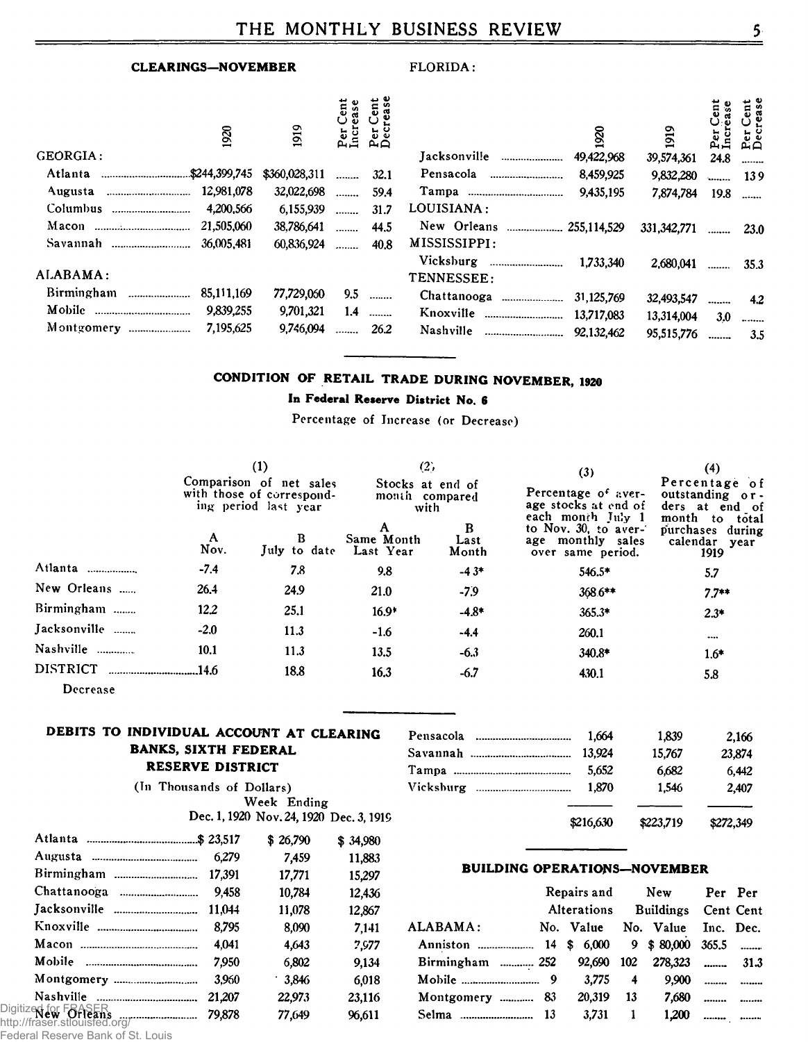## **CLEARINGS-NOVEMBER**

## FLORIDA:

| 8<br>GEORGIA:                        | 919                    | 自言  | $A \cap$ | Jacksonville<br>---------------------- | 1920<br>49,422,968 | 1919<br>39,574,361 | ウ<br>24.8 | ent<br>sse<br>និង<br><b>D</b> ec |
|--------------------------------------|------------------------|-----|----------|----------------------------------------|--------------------|--------------------|-----------|----------------------------------|
| Atlanta                              | \$360,028,311          |     | 32.1     | Pensacola                              | 8,459,925          |                    |           |                                  |
|                                      |                        |     |          |                                        |                    | 9,832,280          |           | 139                              |
| 12,981,078                           | 32,022,698             |     | 59.4     |                                        | 9,435.195          | 7,874,784          | 19.8      |                                  |
| Columbus                             | 4.200.566<br>6,155,939 | .   | 31.7     | LOUISIANA:                             |                    |                    |           |                                  |
| 21,505,060                           | 38,786,641             |     | 44.5     | New Orleans  255,114,529               |                    | 331, 342, 771      |           | <b>23.0</b>                      |
| Savannah                             | 60.836.924             | .   | 40.8     | MISSISSIPPI:                           |                    |                    |           |                                  |
|                                      |                        |     |          | Vicksburg<br>                          | 1.733.340          | 2.680.041          | .         | 35.3                             |
| ALABAMA:                             |                        |     |          | TENNESSEE:                             |                    |                    |           |                                  |
| Birmingham<br>85,111,169<br>$\ldots$ | 77,729,050             | 9.5 |          | Chattanooga<br>                        | 31,125,769         | 32,493,547         | --------  | 4.2                              |
|                                      | 9,839,255<br>9,701,321 | 1.4 |          | Knoxville<br>                          | 13.717.083         | 13,314,004         | 3.0       |                                  |
| Montgomery                           | 7,195,625<br>9,746,094 |     | 26.2     | Nashville<br>                          | 92.132.462         | 95,515,776         |           | 3.5                              |

## CONDITION OF RETAIL TRADE DURING NOVEMBER, 1920

## In Federal Reserve District No. 6

Percentage of Increase (or Decrease)

|                 |           | $\left(1\right)$<br>Comparison of net sales<br>with those of correspond-<br>ing period last year | (2)<br>Stocks at end of<br>month compared<br>with |                    | (3)<br>Percentage of aver-<br>age stocks at end of                                  | (4)<br>Percentage of<br>outstanding or-<br>ders at end of                       |
|-----------------|-----------|--------------------------------------------------------------------------------------------------|---------------------------------------------------|--------------------|-------------------------------------------------------------------------------------|---------------------------------------------------------------------------------|
|                 | A<br>Nov. | B<br>July to date                                                                                | Same Month<br>Last Year                           | B<br>Last<br>Month | each month July 1<br>to Nov. 30, to aver-<br>age monthly sales<br>over same period. | month<br>$\mathbf{to}$<br>total<br>purchases during<br>calendar<br>year<br>1919 |
| Atlanta         | $-7.4$    | 7.8                                                                                              | 9.8                                               | $-4.3*$            | $546.5*$                                                                            | 5.7                                                                             |
| New Orleans     | 26.4      | 24.9                                                                                             | 21.0                                              | $-7.9$             | 368.6**                                                                             | $7.7**$                                                                         |
| Birmingham      | 12.2      | 25.1                                                                                             | $16.9*$                                           | $-4.8*$            | $365.3*$                                                                            | $2.3*$                                                                          |
| Jacksonville    | $-2.0$    | 11.3                                                                                             | $-1.6$                                            | $-4.4$             | 260.1                                                                               |                                                                                 |
| Nashville       | 10.1      | 11.3                                                                                             | 13.5                                              | $-6.3$             | 340.8*                                                                              | $1.6*$                                                                          |
| <b>DISTRICT</b> |           | 18.8                                                                                             | 16.3                                              | $-6.7$             | 430.1                                                                               | 5.8                                                                             |
| Decrease        |           |                                                                                                  |                                                   |                    |                                                                                     |                                                                                 |

## DEBITS TO INDIVIDUAL ACCOUNT AT CLEARING **BANKS, SIXTH FEDERAL RESERVE DISTRICT**

| (In Thousands of Dollars) |  |             |                                         |
|---------------------------|--|-------------|-----------------------------------------|
|                           |  | Week Ending |                                         |
|                           |  |             | Dec. 1, 1920 Nov. 24, 1920 Dec. 3, 1919 |

|                                                                        |        | \$26,790 | \$34,980 |
|------------------------------------------------------------------------|--------|----------|----------|
|                                                                        | 6.279  | 7,459    | 11,883   |
|                                                                        | 17,391 | 17,771   | 15,297   |
|                                                                        | 9.458  | 10,784   | 12,436   |
|                                                                        | 11,044 | 11,078   | 12,867   |
|                                                                        | 8.795  | 8.090    | 7.141    |
|                                                                        | 4.041  | 4.643    | 2.977    |
|                                                                        | 7.950  | 6,802    | 9.134    |
|                                                                        | 3.950  | $-3.846$ | 6,018    |
|                                                                        | 21,207 | 22,973   | 23.116   |
| Digitized for FOASER<br>http://fraeor.stloughod.org/~~~~~~~~~~~~~~~~~~ | 79.878 | 77.649   | 96.611   |

| ittp://ildsei.stiouisieu.org/ |  |  |  |  |  |  |                               |  |
|-------------------------------|--|--|--|--|--|--|-------------------------------|--|
|                               |  |  |  |  |  |  | Tadasal Daagmuu Dambaf Of Ita |  |

Federal Reserve Bank of St. Louis

| Pensacola | 1.664<br>13.924 | 1,839           | 2,166           |
|-----------|-----------------|-----------------|-----------------|
|           | 5.652           | 15,767<br>6,682 | 23,874<br>6.442 |
|           | 1.870           | 1.546           | 2.407           |
|           |                 |                 |                 |
|           | \$216,630       | \$223,719       | \$272,349       |

## **BUILDING OPERATIONS-NOVEMBER**

|                                          | Repairs and |                                 |                | New                 |         | Per Per |
|------------------------------------------|-------------|---------------------------------|----------------|---------------------|---------|---------|
|                                          |             | Alterations Buildings Cent Cent |                |                     |         |         |
| ALABAMA:                                 |             | No. Value                       |                | No. Value Inc. Dec. |         |         |
| Anniston  14 \$ 6,000 9 \$ 80,000 365.5  |             |                                 |                |                     |         |         |
| Birmingham  252 92,690 102 278,323  31.3 |             |                                 |                |                     |         |         |
|                                          |             |                                 |                | $3.775$ 4 $9.900$   |         |         |
| Montgomery  83                           |             | 20.319 13                       |                |                     | $7,680$ |         |
|                                          |             | 3.731                           | $\blacksquare$ | 1.200               |         |         |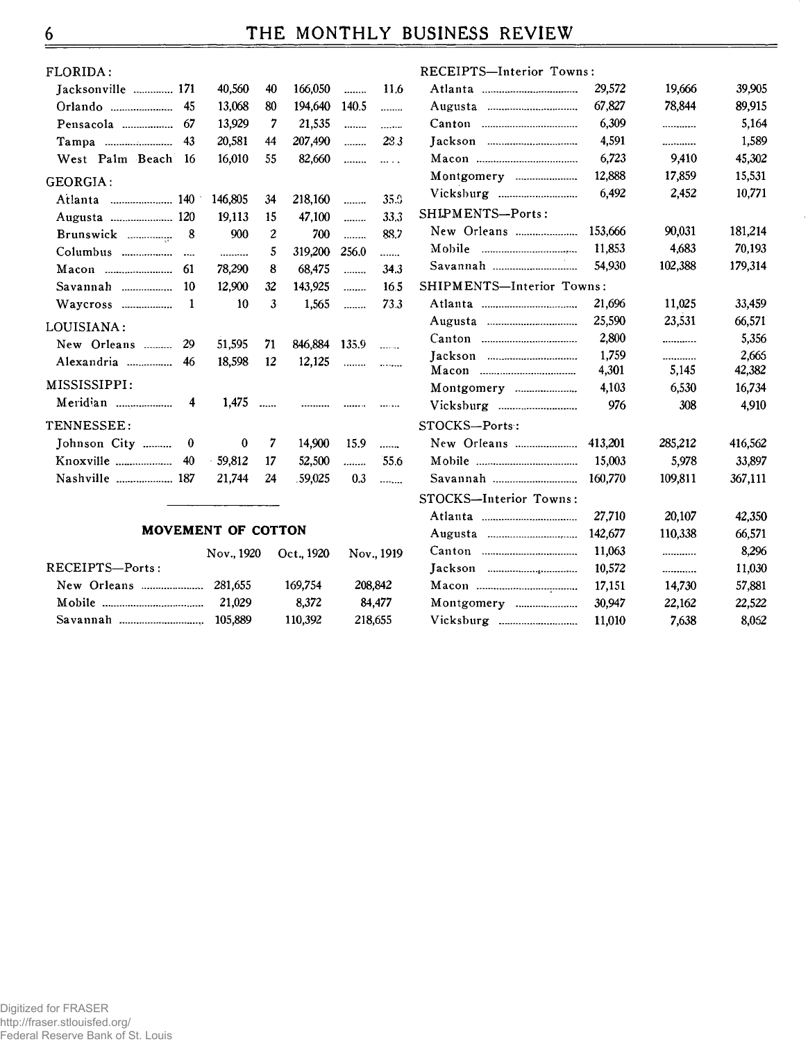| FLORIDA:           |         |                  |         |          |            |
|--------------------|---------|------------------|---------|----------|------------|
| Jacksonville  171  | 40,560  | 40               | 166,050 | .        | 11.6       |
|                    | 13,068  | 80               | 194,640 | 140.5    | .          |
| Pensacola  67      | 13,929  | $\overline{7}$   | 21,535  | .        | 1.1.1.1.1  |
| Татра  43          | 20,581  | 44               | 207,490 |          | 28.3       |
| West Palm Beach 16 | 16,010  | 55               | 82,660  | .        | $\cdots$ . |
| GEORGIA:           |         |                  |         |          |            |
| Atlanta  140       | 146,805 | 34               | 218,160 | $\cdots$ | 35.9       |
| Augusta  120       | 19,113  | 15               | 47,100  | $\cdots$ | 33.3       |
|                    | 900     | $\boldsymbol{2}$ | 700     | .        | 88.7       |
|                    | .       | 5                | 319,200 | 256.0    | .          |
|                    | 78,290  | 8                | 68,475  | .        | 34.3       |
| Savannah  10       | 12,900  | 32               | 143,925 | .        | 16.5       |
|                    | 10      | 3                | 1,565   | .        | 73.3       |
| LOUISIANA:         |         |                  |         |          |            |
| New Orleans  29    | 51,595  | 71               | 846.884 | 135.9    | $\ldots$   |
| Alexandria<br>46   | 18,598  | 12               | 12,125  | $\ldots$ | $\ldots$   |
| MISSISSIPPI:       |         |                  |         |          |            |
|                    | $1,475$ |                  | .       |          |            |
| TENNESSEE:         |         |                  |         |          |            |
| Johnson City  0    |         | $0\quad 7$       | 14.900  | 15.9     | .          |
|                    |         |                  | 52,500  |          | 55.6       |
| Nashville  187     | 21,744  | 24               | .59,025 | 0.3      | .          |
|                    |         |                  |         |          |            |

| RECEIPTS-Interior Towns:                   |         |         |         |
|--------------------------------------------|---------|---------|---------|
|                                            | 29,572  | 19,666  | 39,905  |
|                                            | 67,827  | 78,844  | 89,915  |
| Canton<br>$\cdots$                         | 6,309   | .       | 5,164   |
|                                            | 4,591   |         | 1,589   |
|                                            | 6,723   | 9,410   | 45,302  |
| Montgomery                                 | 12,888  | 17,859  | 15,531  |
|                                            | 6,492   | 2,452   | 10,771  |
| SHIPMENTS-Ports:                           |         |         |         |
| New Orleans                                | 153.666 | 90,031  | 181,214 |
| Mobile<br>                                 | 11,853  | 4,683   | 70,193  |
|                                            | 54,930  | 102,388 | 179,314 |
| SHIPMENTS-Interior Towns:                  |         |         |         |
|                                            | 21,696  | 11,025  | 33,459  |
|                                            | 25,590  | 23,531  | 66,571  |
|                                            | 2,800   |         | 5,356   |
|                                            | 1,759   |         | 2,665   |
| Macon<br>--------------------------------- | 4,301   | 5,145   | 42,382  |
| Montgomery                                 | 4,103   | 6,530   | 16,734  |
|                                            | 976     | 308     | 4.910   |
| STOCKS-Ports:                              |         |         |         |
| New Orleans                                | 413,201 | 285,212 | 416,562 |
|                                            | 15,003  | 5,978   | 33,897  |
|                                            | 160,770 | 109,811 | 367,111 |
| STOCKS-Interior Towns:                     |         |         |         |
|                                            | 27,710  | 20,107  | 42,350  |
|                                            | 142,677 | 110,338 | 66,571  |
|                                            | 11,063  |         | 8,296   |
|                                            | 10,572  |         | 11,030  |
|                                            | 17,151  | 14,730  | 57,881  |
| Montgomery                                 | 30,947  | 22,162  | 22,522  |
|                                            | 11,010  | 7,638   | 8,052   |
|                                            |         |         |         |

## MOVEMENT OF COTTON

|                 | Nov., 1920 | Oct., 1920 | Nov., 1919 |
|-----------------|------------|------------|------------|
| RECEIPTS-Ports: |            |            |            |
|                 |            | 169,754    | 208.842    |
|                 | 21.029     | 8.372      | 84.477     |
|                 | 105.889    | 110,392    | 218,655    |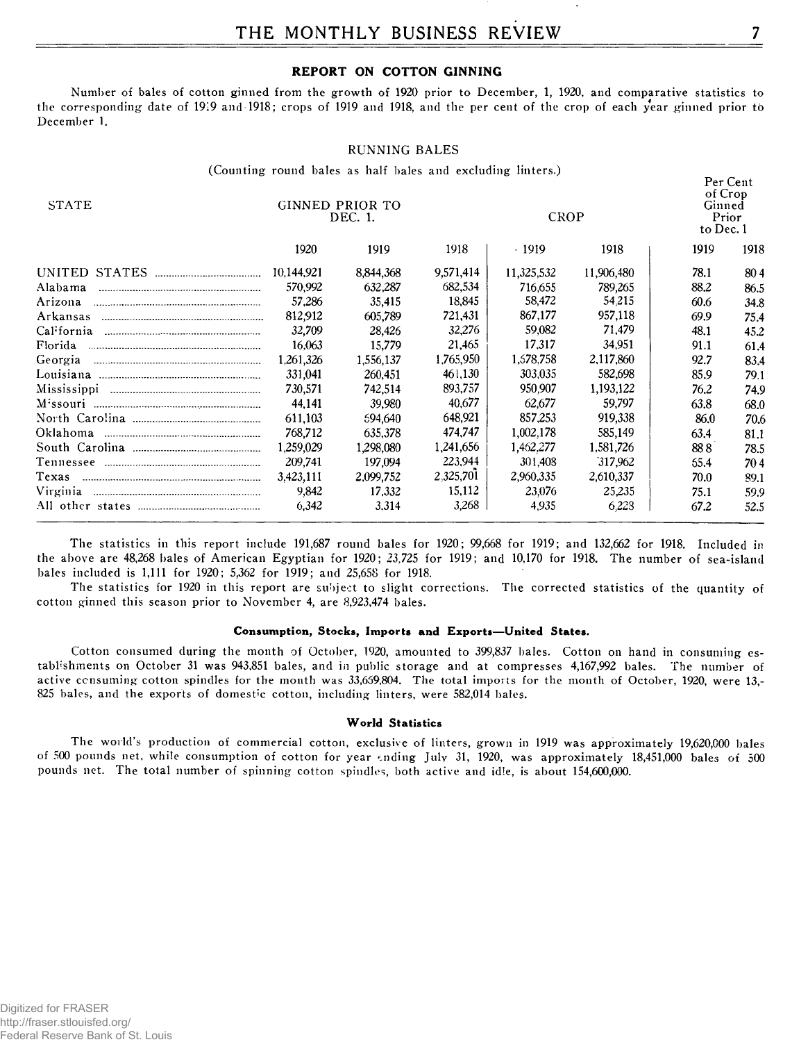## REPORT ON COTTON GINNING

Number of bales of cotton ginned from the growth of 1920 prior to December, 1, 1920, and comparative statistics to the corresponding date of 1919 and 1918; crops of 1919 and 1918, and the per cent of the crop of each year ginned prior to December 1.

## **RUNNING BALES**

(Counting round bales as half bales and excluding linters.)

| <b>STATE</b> | GINNED PRIOR TO<br>DEC. 1. |           |           | CROP       | Per Cent<br>of Crop<br>Ginned<br>Prior<br>to Dec. 1 |      |      |
|--------------|----------------------------|-----------|-----------|------------|-----------------------------------------------------|------|------|
|              | 1920                       | 1919      | 1918      | $-1919$    | 1918                                                | 1919 | 1918 |
|              | 10,144,921                 | 8,844,368 | 9,571,414 | 11,325,532 | 11,906,480                                          | 78.1 | 804  |
| Alabama      | 570,992                    | 632,287   | 682,534   | 716,655    | 789,265                                             | 88.2 | 86.5 |
| Arizona      | 57,286                     | 35,415    | 18.845    | 58,472     | 54.215                                              | 60.6 | 34.8 |
| Arkansas     | 812.912                    | 605,789   | 721,431   | 867,177    | 957,118                                             | 69.9 | 75.4 |
| California   | 32,709                     | 28,426    | 32,276    | 59,082     | 71,479                                              | 48.1 | 45.2 |
| Florida      | 16.063                     | 15,779    | 21,465    | 17,317     | 34.951                                              | 91.1 | 61.4 |
| Georgia      | 1,261,326                  | 1.556,137 | 1,765,950 | 1,578,758  | 2,117,860                                           | 92.7 | 83.4 |
|              | 331,041                    | 260,451   | 461,130   | 303,035    | 582,698                                             | 85.9 | 79.1 |
|              | 730.571                    | 742,514   | 893,757   | 950.907    | 1,193,122                                           | 76.2 | 74.9 |
|              | 44.141                     | 39,980    | 40.677    | 62,677     | 59.797                                              | 63.8 | 68.0 |
|              | 611,103                    | 594,640   | 648,921   | 857.253    | 919,338                                             | 86.0 | 70.6 |
|              | 768,712                    | 635.378   | 474.747   | 1,002,178  | 585,149                                             | 63.4 | 81.1 |
|              | 1,259,029                  | 1.298,080 | 1,241,656 | 1,462,277  | 1,581,726                                           | 888  | 78.5 |
|              | 209,741                    | 197,094   | 223,944   | 301,408    | 317.962                                             | 65.4 | 704  |
| Texas        | 3,423,111                  | 2,099,752 | 2.325,701 | 2,960,335  | 2,610,337                                           | 70.0 | 89.1 |
| Virginia     | 9,842                      | 17,332    | 15,112    | 23,076     | 25,235                                              | 75.1 | 59.9 |
|              | 6,342                      | 3.314     | 3,268     | 4,935      | 6.223                                               | 67.2 | 52.5 |

The statistics in this report include 191,687 round bales for 1920; 99,668 for 1919; and 132,662 for 1918. Included in the above are 48,268 bales of American Egyptian for 1920; 23,725 for 1919; and 10,170 for 1918. The number of sea-island bales included is 1,111 for 1920; 5,362 for 1919; and 25,658 for 1918.

The statistics for 1920 in this report are subject to slight corrections. The corrected statistics of the quantity of cotton ginned this season prior to November 4, are 8,923,474 bales.

## Consumption, Stocks, Imports and Exports-United States.

Cotton consumed during the month of October, 1920, amounted to 399,837 bales. Cotton on hand in consuming establishments on October 31 was 943,851 bales, and in public storage and at compresses 4,167,992 bales. The number of active consuming cotton spindles for the month was 33,659,804. The total imports for the month of October, 1920, were 13,-825 bales, and the exports of domestic cotton, including linters, were 582,014 bales.

## **World Statistics**

The world's production of commercial cotton, exclusive of linters, grown in 1919 was approximately 19,620,000 bales of 500 pounds net, while consumption of cotton for year ending July 31, 1920, was approximately 18,451,000 bales of 500 pounds net. The total number of spinning cotton spindles, both active and idle, is about 154,600,000.